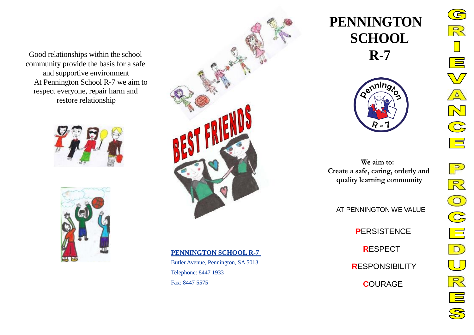Good relationships within the school community provide the basis for a safe and supportive environment At Pennington School R-7 we aim to respect everyone, repair harm and restore relationship







# **PENNINGTON SCHOOL R-7**

Butler Avenue, Pennington, SA 5013 Telephone: 8447 1933 Fax: 8447 5575

# **PENNINGTON SCHOOL R-7**



**We aim to: Create a safe, caring, orderly and quality learning community**

AT PENNINGTON WE VALUE

 **P**ERSISTENCE  **R**ESPECT

 **R**ESPONSIBILITY

 **C**OURAGE